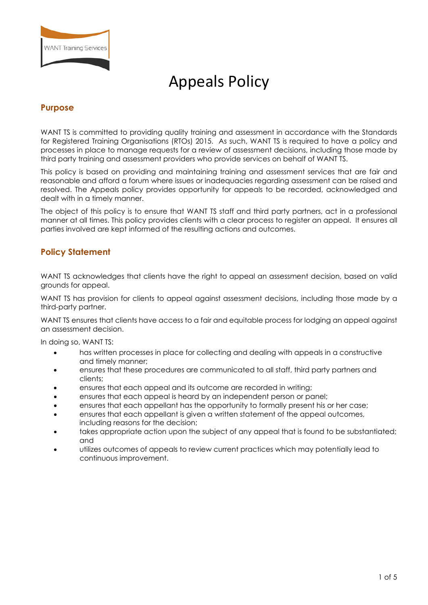

# Appeals Policy

## **Purpose**

WANT TS is committed to providing quality training and assessment in accordance with the Standards for Registered Training Organisations (RTOs) 2015. As such, WANT TS is required to have a policy and processes in place to manage requests for a review of assessment decisions, including those made by third party training and assessment providers who provide services on behalf of WANT TS.

This policy is based on providing and maintaining training and assessment services that are fair and reasonable and afford a forum where issues or inadequacies regarding assessment can be raised and resolved. The Appeals policy provides opportunity for appeals to be recorded, acknowledged and dealt with in a timely manner.

The object of this policy is to ensure that WANT TS staff and third party partners, act in a professional manner at all times. This policy provides clients with a clear process to register an appeal. It ensures all parties involved are kept informed of the resulting actions and outcomes.

## **Policy Statement**

WANT TS acknowledges that clients have the right to appeal an assessment decision, based on valid grounds for appeal.

WANT TS has provision for clients to appeal against assessment decisions, including those made by a third-party partner.

WANT TS ensures that clients have access to a fair and equitable process for lodging an appeal against an assessment decision.

In doing so, WANT TS:

- has written processes in place for collecting and dealing with appeals in a constructive and timely manner;
- ensures that these procedures are communicated to all staff, third party partners and clients;
- ensures that each appeal and its outcome are recorded in writing;
- ensures that each appeal is heard by an independent person or panel;
- ensures that each appellant has the opportunity to formally present his or her case;
- ensures that each appellant is given a written statement of the appeal outcomes, including reasons for the decision;
- takes appropriate action upon the subject of any appeal that is found to be substantiated; and
- utilizes outcomes of appeals to review current practices which may potentially lead to continuous improvement.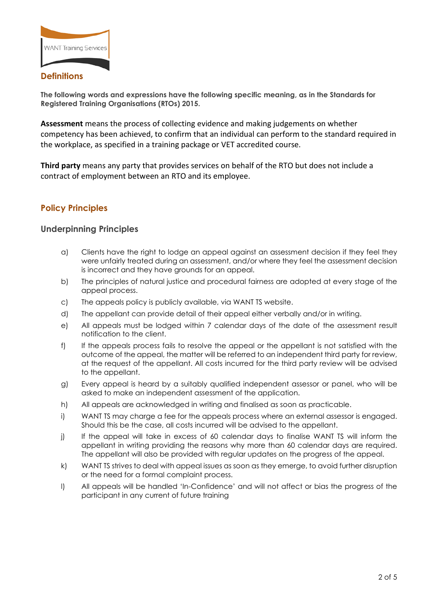

## **Definitions**

**The following words and expressions have the following specific meaning, as in the Standards for Registered Training Organisations (RTOs) 2015.** 

**Assessment** means the process of collecting evidence and making judgements on whether competency has been achieved, to confirm that an individual can perform to the standard required in the workplace, as specified in a training package or VET accredited course.

**Third party** means any party that provides services on behalf of the RTO but does not include a contract of employment between an RTO and its employee.

## **Policy Principles**

## **Underpinning Principles**

- a) Clients have the right to lodge an appeal against an assessment decision if they feel they were unfairly treated during an assessment, and/or where they feel the assessment decision is incorrect and they have grounds for an appeal.
- b) The principles of natural justice and procedural fairness are adopted at every stage of the appeal process.
- c) The appeals policy is publicly available, via WANT TS website.
- d) The appellant can provide detail of their appeal either verbally and/or in writing.
- e) All appeals must be lodged within 7 calendar days of the date of the assessment result notification to the client.
- f) If the appeals process fails to resolve the appeal or the appellant is not satisfied with the outcome of the appeal, the matter will be referred to an independent third party for review, at the request of the appellant. All costs incurred for the third party review will be advised to the appellant.
- g) Every appeal is heard by a suitably qualified independent assessor or panel, who will be asked to make an independent assessment of the application.
- h) All appeals are acknowledged in writing and finalised as soon as practicable.
- i) WANT TS may charge a fee for the appeals process where an external assessor is engaged. Should this be the case, all costs incurred will be advised to the appellant.
- j) If the appeal will take in excess of 60 calendar days to finalise WANT TS will inform the appellant in writing providing the reasons why more than 60 calendar days are required. The appellant will also be provided with regular updates on the progress of the appeal.
- k) WANT TS strives to deal with appeal issues as soon as they emerge, to avoid further disruption or the need for a formal complaint process.
- l) All appeals will be handled 'In-Confidence' and will not affect or bias the progress of the participant in any current of future training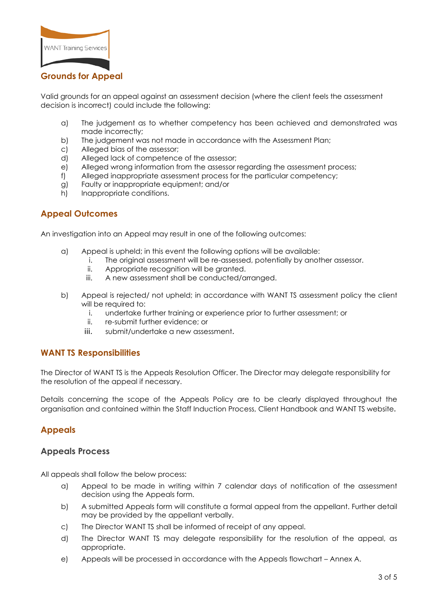

## **Grounds for Appeal**

Valid grounds for an appeal against an assessment decision (where the client feels the assessment decision is incorrect) could include the following:

- a) The judgement as to whether competency has been achieved and demonstrated was made incorrectly;
- b) The judgement was not made in accordance with the Assessment Plan;
- c) Alleged bias of the assessor;
- d) Alleged lack of competence of the assessor;
- e) Alleged wrong information from the assessor regarding the assessment process;
- f) Alleged inappropriate assessment process for the particular competency;
- g) Faulty or inappropriate equipment; and/or
- h) Inappropriate conditions.

## **Appeal Outcomes**

An investigation into an Appeal may result in one of the following outcomes:

- a) Appeal is upheld; in this event the following options will be available:
	- i. The original assessment will be re-assessed, potentially by another assessor.
		- ii. Appropriate recognition will be granted.
		- iii. A new assessment shall be conducted/arranged.
- b) Appeal is rejected/ not upheld; in accordance with WANT TS assessment policy the client will be required to:
	- i. undertake further training or experience prior to further assessment; or
	- ii. re-submit further evidence; or
	- iii. submit/undertake a new assessment.

#### **WANT TS Responsibilities**

The Director of WANT TS is the Appeals Resolution Officer. The Director may delegate responsibility for the resolution of the appeal if necessary.

Details concerning the scope of the Appeals Policy are to be clearly displayed throughout the organisation and contained within the Staff Induction Process, Client Handbook and WANT TS website.

## **Appeals**

#### **Appeals Process**

All appeals shall follow the below process:

- a) Appeal to be made in writing within 7 calendar days of notification of the assessment decision using the Appeals form.
- b) A submitted Appeals form will constitute a formal appeal from the appellant. Further detail may be provided by the appellant verbally.
- c) The Director WANT TS shall be informed of receipt of any appeal.
- d) The Director WANT TS may delegate responsibility for the resolution of the appeal, as appropriate.
- e) Appeals will be processed in accordance with the Appeals flowchart Annex A.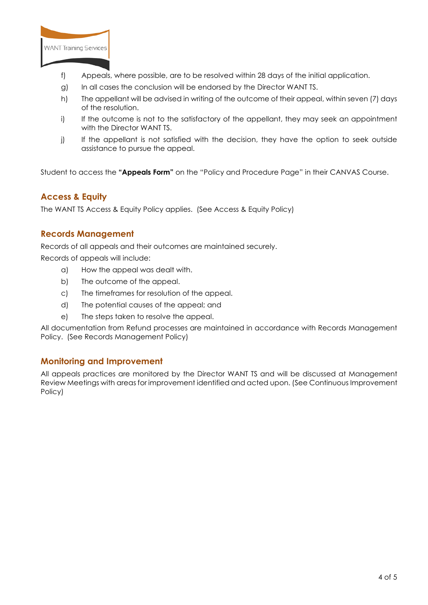

- f) Appeals, where possible, are to be resolved within 28 days of the initial application.
- g) In all cases the conclusion will be endorsed by the Director WANT TS.
- h) The appellant will be advised in writing of the outcome of their appeal, within seven (7) days of the resolution.
- i) If the outcome is not to the satisfactory of the appellant, they may seek an appointment with the Director WANT TS.
- j) If the appellant is not satisfied with the decision, they have the option to seek outside assistance to pursue the appeal.

Student to access the **"Appeals Form"** on the "Policy and Procedure Page" in their CANVAS Course.

## **Access & Equity**

The WANT TS Access & Equity Policy applies. (See Access & Equity Policy)

#### **Records Management**

Records of all appeals and their outcomes are maintained securely.

Records of appeals will include:

- a) How the appeal was dealt with.
- b) The outcome of the appeal.
- c) The timeframes for resolution of the appeal.
- d) The potential causes of the appeal; and
- e) The steps taken to resolve the appeal.

All documentation from Refund processes are maintained in accordance with Records Management Policy. (See Records Management Policy)

## **Monitoring and Improvement**

All appeals practices are monitored by the Director WANT TS and will be discussed at Management Review Meetings with areas for improvement identified and acted upon. (See Continuous Improvement Policy)